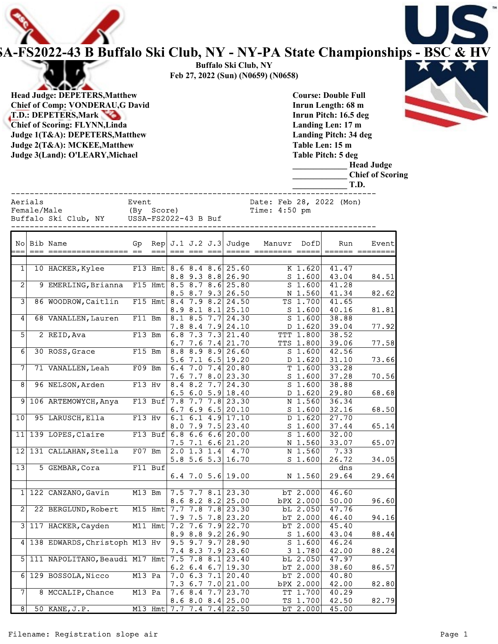

## A-FS2022-43 B Buffalo Ski Club, NY - NY-PA State Championships - BSC & HV

Buffalo Ski Club, NY **State of the Ski Club** Feb 27, 2022 (Sun) (N0659) (N0658)

Head Judge: DEPETERS,Matthew Chief of Comp: VONDERAU,G David T.D.: DEPETERS, Mark Chief of Scoring: FLYNN,Linda Judge 1(T&A): DEPETERS,Matthew Judge 2(T&A): MCKEE,Matthew Judge 3(Land): O'LEARY,Michael

Course: Double Full Inrun Length: 68 m Inrun Pitch: 16.5 deg Landing Len: 17 m Landing Pitch: 34 deg Table Len: 15 m Table Pitch: 5 deg

| Judge J(Lanu). O LEANT, MICHAEI                |                                             | Table Fitch. 5 deg<br><b>Head Judge</b><br><b>Chief of Scoring</b><br>T.D. |
|------------------------------------------------|---------------------------------------------|----------------------------------------------------------------------------|
| Aerials<br>Female/Male<br>Buffalo Ski Club, NY | Event<br>(By Score)<br>USSA-FS2022-43 B Buf | Date: Feb 28, 2022 (Mon)<br>Time: $4:50$ pm                                |
| No  Bib Name                                   | Rep $J.1 J.2 J.3$ Judge<br>Gp               | Manuvr<br>DofD<br>Event<br>Run                                             |

|                | <b>DID NAME</b>                                    | יב       | <b>DEN</b> |  | O.L O.Z O.J DUUYE                 | Maliuvi |                  | <b>NULL</b>     | n ven i         |
|----------------|----------------------------------------------------|----------|------------|--|-----------------------------------|---------|------------------|-----------------|-----------------|
|                |                                                    |          | $==$       |  |                                   |         |                  |                 | ====== ======== |
|                |                                                    |          |            |  |                                   |         |                  |                 |                 |
| 1              | 10 HACKER, Kylee                                   |          |            |  | F13 Hmt $8.6$ $8.4$ $8.6$ $25.60$ |         | $K$ 1.620        | 41.47           |                 |
|                |                                                    |          |            |  | $8.8$ 9.3 $8.8$ 26.90             |         | $S$ 1.600        | 43.04           | 84.51           |
| $\overline{2}$ | 9 EMERLING, Brianna F15 Hmt 8.5 8.7 8.6 25.80      |          |            |  |                                   |         | $S$ 1.600        | 41.28           |                 |
|                |                                                    |          |            |  | $8.5$ $8.7$ $9.3$ $26.50$         |         | $N$ 1.560        | 41.34           | 82.62           |
| 3              | 86 WOODROW, Caitlin                                |          |            |  | F15 Hmt $8.4$ 7.9 $8.2$ 24.50     |         | $TS$ 1.700       | 41.65           |                 |
|                |                                                    |          |            |  | $8.9$ $8.1$ $8.1$ $25.10$         |         | $S$ 1.600        | 40.16           | 81.81           |
| 4              | 68 VANALLEN, Lauren                                | F11 Bm   |            |  | $8.1$ $8.5$ $7.7$ $24.30$         |         | $S$ 1.600        | 38.88           |                 |
|                |                                                    |          |            |  | $7.8$ 8.4 $7.9$ 24.10             |         | D 1.620          | 39.04           | 77.92           |
| $\overline{5}$ | 2 REID, Ava                                        |          | $F13$ Bm   |  | $6.8$ 7.3 7.3 21.40               |         | <b>TTT 1.800</b> | 38.52           |                 |
|                |                                                    |          |            |  | 6.7 7.6 7.4 21.70                 |         | TTS 1.800        | 39.06           | 77.58           |
| $6 \mid$       | 30 ROSS, Grace                                     |          |            |  | F15 Bm $ 8.8 \t8.9 \t8.9 26.60$   |         |                  | $S$ 1.600 42.56 |                 |
|                |                                                    |          |            |  |                                   |         |                  |                 |                 |
|                |                                                    |          |            |  | 5.6 7.1 6.5 19.20                 |         | $D$ 1.620        | 31.10           | 73.66           |
|                | 71 VANALLEN, Leah                                  |          |            |  | F09 Bm $\big $ 6.4 7.0 7.4 20.80  |         | $T$ 1.600        | 33.28           |                 |
|                |                                                    |          |            |  | $7.6$ $7.7$ $8.0$ 23.30           |         | $S$ 1.600        | 37.28           | 70.56           |
| 8              | 96 NELSON, Arden                                   | F13 Hv   |            |  | 8.4 8.2 $\overline{7.7}$ 24.30    |         | $S$ 1.600        | 38.88           |                 |
|                |                                                    |          |            |  | 6.5 6.0 5.9 18.40                 |         | D 1.620          | 29.80           | 68.68           |
|                | 9 106 ARTEMOWYCH, Anya F13 Buf 7.8 7.7 7.8 23.30   |          |            |  |                                   |         | N 1.560          | 36.34           |                 |
|                |                                                    |          |            |  | $6.7$ $6.9$ $6.5$ 20.10           |         | $S$ 1.600        | 32.16           | 68.50           |
| 10             | 95 LARUSCH, Ella                                   | $F13$ Hv |            |  | $6.1$ $6.1$ $4.9$ 17.10           |         | $D$ 1.620        | 27.70           |                 |
|                |                                                    |          |            |  | $8.0$ 7.9 7.5 23.40               |         | $S$ 1.600        | 37.44           | 65.14           |
|                | 11 139 LOPES, Claire                               |          |            |  | F13 Buf $6.8$ 6.6 6.6 20.00       |         | $S$ 1.600        | 32.00           |                 |
|                |                                                    |          |            |  | $7.5$ $7.1$ $6.6$ 21.20           |         | $N$ 1.560        | 33.07           | 65.07           |
|                | 12 131 CALLAHAN, Stella                            |          |            |  |                                   |         | N 1.560          | 7.33            |                 |
|                |                                                    |          |            |  | 5.8 5.6 5.3 16.70                 |         | $S$ 1.600        | 26.72           | 34.05           |
| 13             | 5 GEMBAR, Cora                                     |          | $F11$ Buf  |  |                                   |         |                  | dns             |                 |
|                |                                                    |          |            |  | $6.4$ 7.0 5.6 19.00               |         | N 1.560          | 29.64           | 29.64           |
|                |                                                    |          |            |  |                                   |         |                  |                 |                 |
|                | 1 122 CANZANO, Gavin                               |          |            |  | M13 Bm 7.5 7.7 8.1 23.30          |         | $bT$ 2.000       | 46.60           |                 |
|                |                                                    |          |            |  |                                   |         |                  |                 |                 |
|                |                                                    |          |            |  | $8.6$ $8.2$ $8.2$ $25.00$         |         | $bPX$ 2.000      | 50.00           | 96.60           |
| $\mathbf{2}$   | 22 BERGLUND, Robert                                |          |            |  | M15 Hmt 7.7 7.8 7.8 23.30         |         | $bL$ 2.050       | 47.76           |                 |
|                |                                                    |          |            |  | $7.9$ $7.5$ $7.8$ 23.20           |         | bT 2.000         | 46.40           | 94.16           |
|                | 3 117 HACKER, Cayden                               |          |            |  | M11 Hmt 7.2 7.6 7.9 22.70         |         | bT 2.000         | 45.40           |                 |
|                |                                                    |          |            |  | $8.9$ $8.8$ $9.2$ 26.90           |         | $S$ 1.600        | 43.04           | 88.44           |
|                | 4 138 EDWARDS, Christoph M13 Hv 9.5 9.7 9.7 28.90  |          |            |  |                                   |         | $S$ 1.600        | 46.24           |                 |
|                |                                                    |          |            |  | $7.4$ 8.3 7.9 23.60               |         | $3 \; 1.780$     | 42.00           | 88.24           |
|                | 5 111 NAPOLITANO, Beaudi M17 Hmt 7.5 7.8 8.1 23.40 |          |            |  |                                   |         | $bL$ 2.050       | 47.97           |                 |
|                |                                                    |          |            |  | $6.2 \, 6.4 \, 6.7$ 19.30         |         | bT 2.000         | 38.60           | 86.57           |
|                | 6 129 BOSSOLA, Nicco                               | M13 Pa   |            |  | $7.0$ 6.3 $7.1$ 20.40             |         | $bT$ 2.000       | 40.80           |                 |
|                |                                                    |          |            |  | $7.3$ 6.7 7.0 21.00               |         | bPX 2.000        | 42.00           | 82.80           |
| 71             | 8 MCCALIP, Chance                                  | M13 Pa   |            |  | $7.6$ 8.4 7.7 23.70               |         | TT 1.700         | 40.29           |                 |
|                |                                                    |          |            |  | $8.6$ $8.0$ $8.4$ 25.00           |         | $TS$ 1.700       | 42.50           | 82.79           |
| 8              |                                                    |          |            |  |                                   |         |                  |                 |                 |
|                | 50 KANE, J.P.                                      |          |            |  | M13 Hmt 7.7 7.4 7.4 22.50         |         | bT 2.000         | 45.00           |                 |